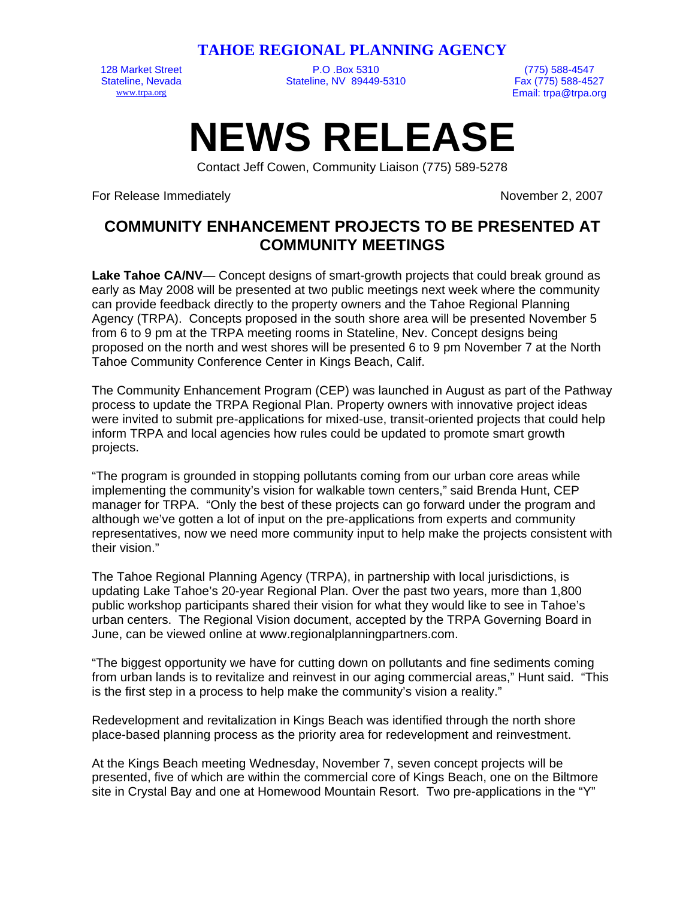**TAHOE REGIONAL PLANNING AGENCY** 

128 Market Street P.O .Box 5310 (775) 588-4547 Stateline, Nevada Stateline, NV 89449-5310

[www.trpa.org](http://www.ceres.ca.gov/trpa) Email: trpa@trpa.org

## **NEWS RELEASE**

Contact Jeff Cowen, Community Liaison (775) 589-5278

For Release Immediately November 2, 2007

## **COMMUNITY ENHANCEMENT PROJECTS TO BE PRESENTED AT COMMUNITY MEETINGS**

Lake Tahoe CA/NV— Concept designs of smart-growth projects that could break ground as early as May 2008 will be presented at two public meetings next week where the community can provide feedback directly to the property owners and the Tahoe Regional Planning Agency (TRPA). Concepts proposed in the south shore area will be presented November 5 from 6 to 9 pm at the TRPA meeting rooms in Stateline, Nev. Concept designs being proposed on the north and west shores will be presented 6 to 9 pm November 7 at the North Tahoe Community Conference Center in Kings Beach, Calif.

The Community Enhancement Program (CEP) was launched in August as part of the Pathway process to update the TRPA Regional Plan. Property owners with innovative project ideas were invited to submit pre-applications for mixed-use, transit-oriented projects that could help inform TRPA and local agencies how rules could be updated to promote smart growth projects.

"The program is grounded in stopping pollutants coming from our urban core areas while implementing the community's vision for walkable town centers," said Brenda Hunt, CEP manager for TRPA. "Only the best of these projects can go forward under the program and although we've gotten a lot of input on the pre-applications from experts and community representatives, now we need more community input to help make the projects consistent with their vision."

The Tahoe Regional Planning Agency (TRPA), in partnership with local jurisdictions, is updating Lake Tahoe's 20-year Regional Plan. Over the past two years, more than 1,800 public workshop participants shared their vision for what they would like to see in Tahoe's urban centers. The Regional Vision document, accepted by the TRPA Governing Board in June, can be viewed online at [www.regionalplanningpartners.com.](http://www.regionalplanningpartners.com/)

"The biggest opportunity we have for cutting down on pollutants and fine sediments coming from urban lands is to revitalize and reinvest in our aging commercial areas," Hunt said. "This is the first step in a process to help make the community's vision a reality."

Redevelopment and revitalization in Kings Beach was identified through the north shore place-based planning process as the priority area for redevelopment and reinvestment.

At the Kings Beach meeting Wednesday, November 7, seven concept projects will be presented, five of which are within the commercial core of Kings Beach, one on the Biltmore site in Crystal Bay and one at Homewood Mountain Resort. Two pre-applications in the "Y"